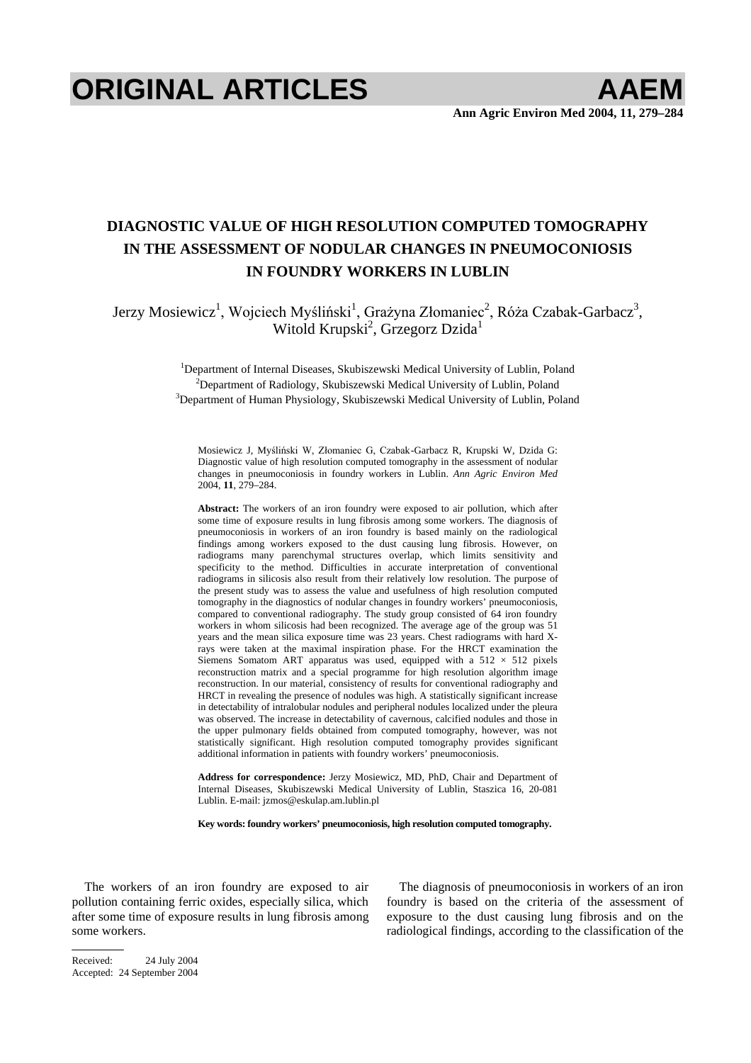# **ORIGINAL ARTICLES AAEM**

# **DIAGNOSTIC VALUE OF HIGH RESOLUTION COMPUTED TOMOGRAPHY IN THE ASSESSMENT OF NODULAR CHANGES IN PNEUMOCONIOSIS IN FOUNDRY WORKERS IN LUBLIN**

Jerzy Mosiewicz<sup>1</sup>, Wojciech Myśliński<sup>1</sup>, Grażyna Złomaniec<sup>2</sup>, Róża Czabak-Garbacz<sup>3</sup>, Witold Krupski<sup>2</sup>, Grzegorz Dzida<sup>1</sup>

> <sup>1</sup>Department of Internal Diseases, Skubiszewski Medical University of Lublin, Poland <sup>2</sup>Department of Pedialogy, Skubiszowski Medical University of Lublin, Poland  $2$ Department of Radiology, Skubiszewski Medical University of Lublin, Poland <sup>3</sup>Department of Human Physiology, Skubiszewski Medical University of Lublin, Poland

Mosiewicz J, Myśliński W, Złomaniec G, Czabak-Garbacz R, Krupski W, Dzida G: Diagnostic value of high resolution computed tomography in the assessment of nodular changes in pneumoconiosis in foundry workers in Lublin. *Ann Agric Environ Med* 2004, **11**, 279–284.

**Abstract:** The workers of an iron foundry were exposed to air pollution, which after some time of exposure results in lung fibrosis among some workers. The diagnosis of pneumoconiosis in workers of an iron foundry is based mainly on the radiological findings among workers exposed to the dust causing lung fibrosis. However, on radiograms many parenchymal structures overlap, which limits sensitivity and specificity to the method. Difficulties in accurate interpretation of conventional radiograms in silicosis also result from their relatively low resolution. The purpose of the present study was to assess the value and usefulness of high resolution computed tomography in the diagnostics of nodular changes in foundry workers' pneumoconiosis, compared to conventional radiography. The study group consisted of 64 iron foundry workers in whom silicosis had been recognized. The average age of the group was 51 years and the mean silica exposure time was 23 years. Chest radiograms with hard Xrays were taken at the maximal inspiration phase. For the HRCT examination the Siemens Somatom ART apparatus was used, equipped with a  $512 \times 512$  pixels reconstruction matrix and a special programme for high resolution algorithm image reconstruction. In our material, consistency of results for conventional radiography and HRCT in revealing the presence of nodules was high. A statistically significant increase in detectability of intralobular nodules and peripheral nodules localized under the pleura was observed. The increase in detectability of cavernous, calcified nodules and those in the upper pulmonary fields obtained from computed tomography, however, was not statistically significant. High resolution computed tomography provides significant additional information in patients with foundry workers' pneumoconiosis.

**Address for correspondence:** Jerzy Mosiewicz, MD, PhD, Chair and Department of Internal Diseases, Skubiszewski Medical University of Lublin, Staszica 16, 20-081 Lublin. E-mail: jzmos@eskulap.am.lublin.pl

**Key words: foundry workers' pneumoconiosis, high resolution computed tomography.** 

The workers of an iron foundry are exposed to air pollution containing ferric oxides, especially silica, which after some time of exposure results in lung fibrosis among some workers.

The diagnosis of pneumoconiosis in workers of an iron foundry is based on the criteria of the assessment of exposure to the dust causing lung fibrosis and on the radiological findings, according to the classification of the

Received: 24 July 2004 Accepted: 24 September 2004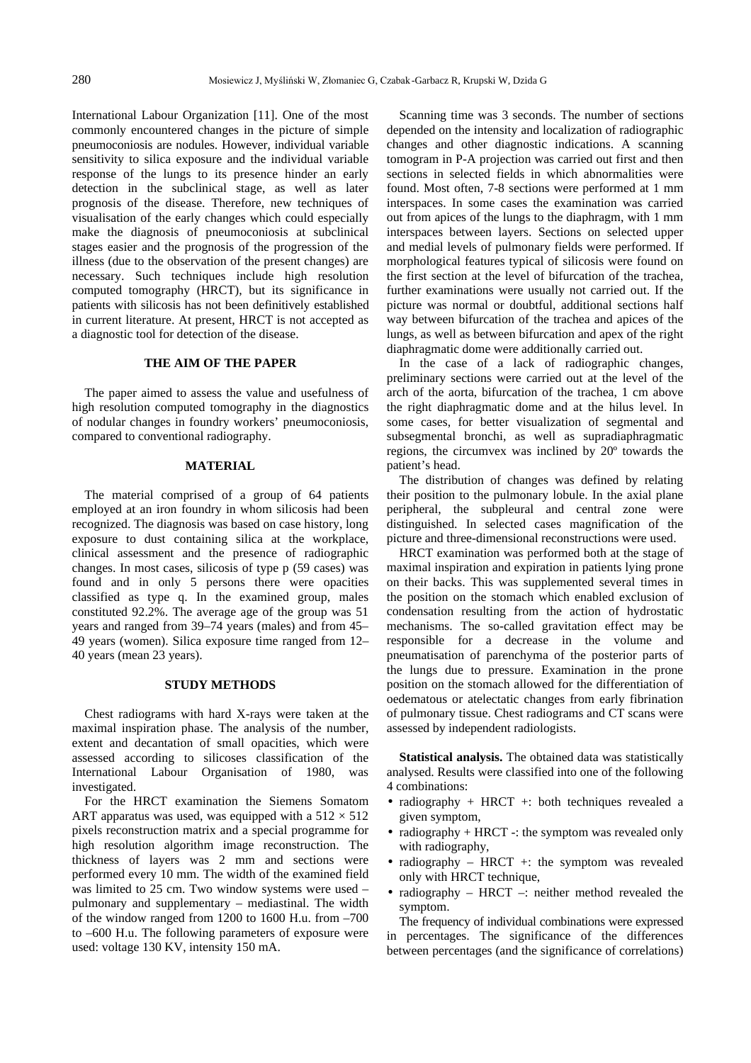International Labour Organization [11]. One of the most commonly encountered changes in the picture of simple pneumoconiosis are nodules. However, individual variable sensitivity to silica exposure and the individual variable response of the lungs to its presence hinder an early detection in the subclinical stage, as well as later prognosis of the disease. Therefore, new techniques of visualisation of the early changes which could especially make the diagnosis of pneumoconiosis at subclinical stages easier and the prognosis of the progression of the illness (due to the observation of the present changes) are necessary. Such techniques include high resolution computed tomography (HRCT), but its significance in patients with silicosis has not been definitively established in current literature. At present, HRCT is not accepted as a diagnostic tool for detection of the disease.

#### **THE AIM OF THE PAPER**

The paper aimed to assess the value and usefulness of high resolution computed tomography in the diagnostics of nodular changes in foundry workers' pneumoconiosis, compared to conventional radiography.

# **MATERIAL**

The material comprised of a group of 64 patients employed at an iron foundry in whom silicosis had been recognized. The diagnosis was based on case history, long exposure to dust containing silica at the workplace, clinical assessment and the presence of radiographic changes. In most cases, silicosis of type p (59 cases) was found and in only 5 persons there were opacities classified as type q. In the examined group, males constituted 92.2%. The average age of the group was 51 years and ranged from 39–74 years (males) and from 45– 49 years (women). Silica exposure time ranged from 12– 40 years (mean 23 years).

# **STUDY METHODS**

Chest radiograms with hard X-rays were taken at the maximal inspiration phase. The analysis of the number, extent and decantation of small opacities, which were assessed according to silicoses classification of the International Labour Organisation of 1980, was investigated.

For the HRCT examination the Siemens Somatom ART apparatus was used, was equipped with a  $512 \times 512$ pixels reconstruction matrix and a special programme for high resolution algorithm image reconstruction. The thickness of layers was 2 mm and sections were performed every 10 mm. The width of the examined field was limited to 25 cm. Two window systems were used – pulmonary and supplementary – mediastinal. The width of the window ranged from 1200 to 1600 H.u. from –700 to –600 H.u. The following parameters of exposure were used: voltage 130 KV, intensity 150 mA.

Scanning time was 3 seconds. The number of sections depended on the intensity and localization of radiographic changes and other diagnostic indications. A scanning tomogram in P-A projection was carried out first and then sections in selected fields in which abnormalities were found. Most often, 7-8 sections were performed at 1 mm interspaces. In some cases the examination was carried out from apices of the lungs to the diaphragm, with 1 mm interspaces between layers. Sections on selected upper and medial levels of pulmonary fields were performed. If morphological features typical of silicosis were found on the first section at the level of bifurcation of the trachea, further examinations were usually not carried out. If the picture was normal or doubtful, additional sections half way between bifurcation of the trachea and apices of the lungs, as well as between bifurcation and apex of the right diaphragmatic dome were additionally carried out.

In the case of a lack of radiographic changes, preliminary sections were carried out at the level of the arch of the aorta, bifurcation of the trachea, 1 cm above the right diaphragmatic dome and at the hilus level. In some cases, for better visualization of segmental and subsegmental bronchi, as well as supradiaphragmatic regions, the circumvex was inclined by 20º towards the patient's head.

The distribution of changes was defined by relating their position to the pulmonary lobule. In the axial plane peripheral, the subpleural and central zone were distinguished. In selected cases magnification of the picture and three-dimensional reconstructions were used.

HRCT examination was performed both at the stage of maximal inspiration and expiration in patients lying prone on their backs. This was supplemented several times in the position on the stomach which enabled exclusion of condensation resulting from the action of hydrostatic mechanisms. The so-called gravitation effect may be responsible for a decrease in the volume and pneumatisation of parenchyma of the posterior parts of the lungs due to pressure. Examination in the prone position on the stomach allowed for the differentiation of oedematous or atelectatic changes from early fibrination of pulmonary tissue. Chest radiograms and CT scans were assessed by independent radiologists.

**Statistical analysis.** The obtained data was statistically analysed. Results were classified into one of the following 4 combinations:

- radiography + HRCT +: both techniques revealed a given symptom,
- radiography + HRCT -: the symptom was revealed only with radiography,
- radiography HRCT +: the symptom was revealed only with HRCT technique,
- radiography HRCT –: neither method revealed the symptom.

The frequency of individual combinations were expressed in percentages. The significance of the differences between percentages (and the significance of correlations)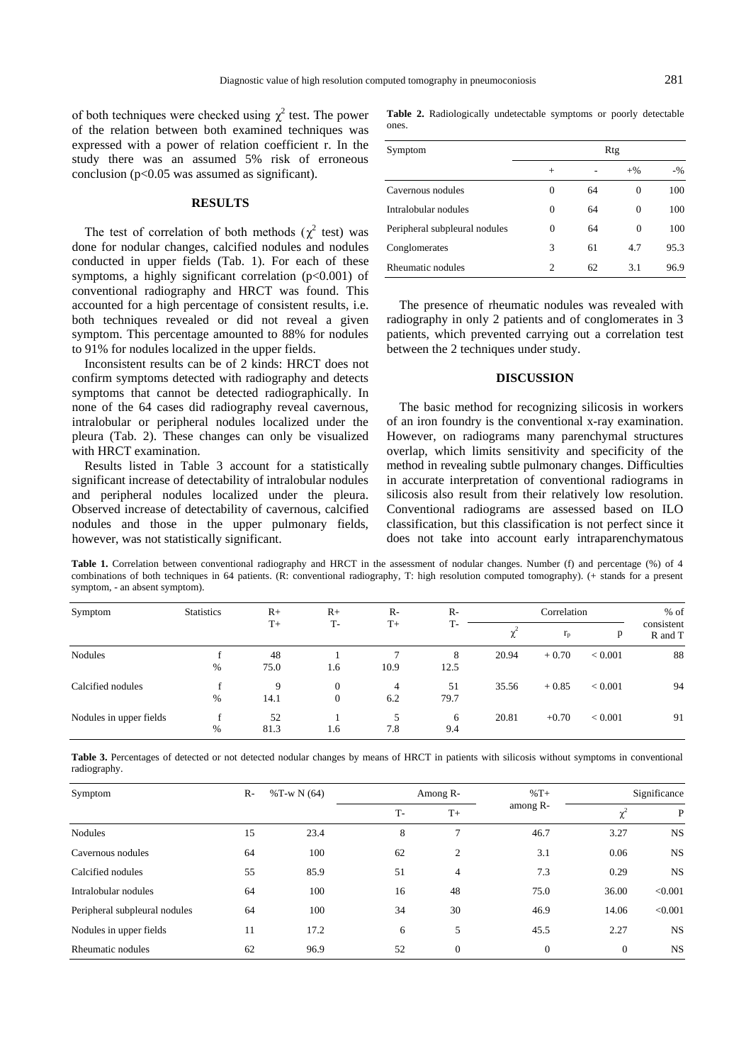of both techniques were checked using  $\chi^2$  test. The power of the relation between both examined techniques was expressed with a power of relation coefficient r. In the study there was an assumed 5% risk of erroneous conclusion ( $p<0.05$  was assumed as significant).

### **RESULTS**

The test of correlation of both methods ( $\chi^2$  test) was done for nodular changes, calcified nodules and nodules conducted in upper fields (Tab. 1). For each of these symptoms, a highly significant correlation (p<0.001) of conventional radiography and HRCT was found. This accounted for a high percentage of consistent results, i.e. both techniques revealed or did not reveal a given symptom. This percentage amounted to 88% for nodules to 91% for nodules localized in the upper fields.

Inconsistent results can be of 2 kinds: HRCT does not confirm symptoms detected with radiography and detects symptoms that cannot be detected radiographically. In none of the 64 cases did radiography reveal cavernous, intralobular or peripheral nodules localized under the pleura (Tab. 2). These changes can only be visualized with HRCT examination.

Results listed in Table 3 account for a statistically significant increase of detectability of intralobular nodules and peripheral nodules localized under the pleura. Observed increase of detectability of cavernous, calcified nodules and those in the upper pulmonary fields, however, was not statistically significant.

**Table 2.** Radiologically undetectable symptoms or poorly detectable ones.

| Symptom                       | Rtg      |    |          |        |  |
|-------------------------------|----------|----|----------|--------|--|
|                               | $^{+}$   |    | $+$ %    | $-9/6$ |  |
| Cavernous nodules             | $\Omega$ | 64 | 0        | 100    |  |
| Intralobular nodules          | $\Omega$ | 64 | $\Omega$ | 100    |  |
| Peripheral subpleural nodules | 0        | 64 | $\Omega$ | 100    |  |
| Conglomerates                 | 3        | 61 | 4.7      | 95.3   |  |
| Rheumatic nodules             | 2        | 62 | 3.1      | 96.9   |  |

The presence of rheumatic nodules was revealed with radiography in only 2 patients and of conglomerates in 3 patients, which prevented carrying out a correlation test between the 2 techniques under study.

## **DISCUSSION**

The basic method for recognizing silicosis in workers of an iron foundry is the conventional x-ray examination. However, on radiograms many parenchymal structures overlap, which limits sensitivity and specificity of the method in revealing subtle pulmonary changes. Difficulties in accurate interpretation of conventional radiograms in silicosis also result from their relatively low resolution. Conventional radiograms are assessed based on ILO classification, but this classification is not perfect since it does not take into account early intraparenchymatous

Table 1. Correlation between conventional radiography and HRCT in the assessment of nodular changes. Number (f) and percentage (%) of 4 combinations of both techniques in 64 patients. (R: conventional radiography, T: high resolution computed tomography). (+ stands for a present symptom, - an absent symptom).

| Symptom                 | <b>Statistics</b> | $R+$<br>$T+$ | $R+$             | $R-$ | $R-$<br>T- | Correlation |             |                | $%$ of                |
|-------------------------|-------------------|--------------|------------------|------|------------|-------------|-------------|----------------|-----------------------|
|                         |                   |              | T-               | $T+$ |            |             | $r_{\rm p}$ | p              | consistent<br>R and T |
| <b>Nodules</b>          |                   | 48           |                  | −    | 8          | 20.94       | $+0.70$     | ${}_{< 0.001}$ | 88                    |
|                         | %                 | 75.0         | 1.6              | 10.9 | 12.5       |             |             |                |                       |
| Calcified nodules       |                   | 9            | $\mathbf{0}$     | 4    | 51         | 35.56       | $+0.85$     | ${}_{< 0.001}$ | 94                    |
|                         | %                 | 14.1         | $\boldsymbol{0}$ | 6.2  | 79.7       |             |             |                |                       |
| Nodules in upper fields | £                 | 52           |                  |      | 6          | 20.81       | $+0.70$     | ${}_{< 0.001}$ | 91                    |
|                         | %                 | 81.3         | 1.6              | 7.8  | 9.4        |             |             |                |                       |

Table 3. Percentages of detected or not detected nodular changes by means of HRCT in patients with silicosis without symptoms in conventional radiography.

| Symptom                       | $R-$ | % $T-w N(64)$ | Among R- |              | $%T+$          | Significance |           |
|-------------------------------|------|---------------|----------|--------------|----------------|--------------|-----------|
|                               |      |               | $T -$    | $T+$         | among R-       |              | P         |
| <b>Nodules</b>                | 15   | 23.4          | 8        | 7            | 46.7           | 3.27         | <b>NS</b> |
| Cavernous nodules             | 64   | 100           | 62       | 2            | 3.1            | 0.06         | <b>NS</b> |
| Calcified nodules             | 55   | 85.9          | 51       | 4            | 7.3            | 0.29         | <b>NS</b> |
| Intralobular nodules          | 64   | 100           | 16       | 48           | 75.0           | 36.00        | < 0.001   |
| Peripheral subpleural nodules | 64   | 100           | 34       | 30           | 46.9           | 14.06        | < 0.001   |
| Nodules in upper fields       | 11   | 17.2          | 6        | 5            | 45.5           | 2.27         | <b>NS</b> |
| Rheumatic nodules             | 62   | 96.9          | 52       | $\mathbf{0}$ | $\overline{0}$ | $\theta$     | <b>NS</b> |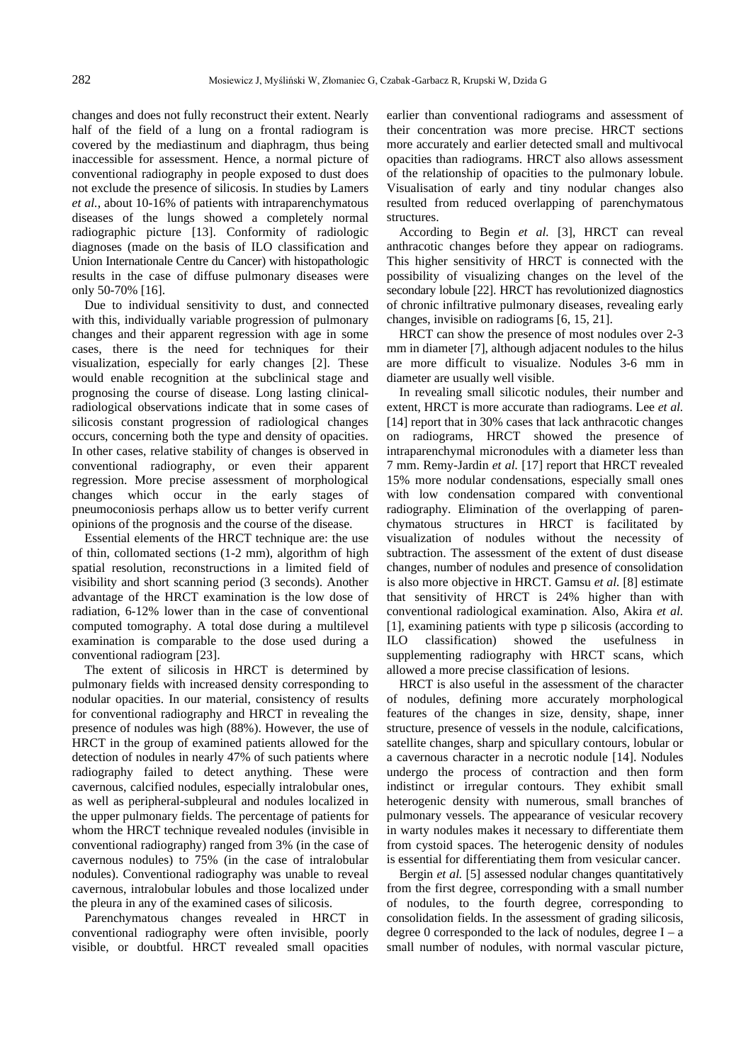changes and does not fully reconstruct their extent. Nearly half of the field of a lung on a frontal radiogram is covered by the mediastinum and diaphragm, thus being inaccessible for assessment. Hence, a normal picture of conventional radiography in people exposed to dust does not exclude the presence of silicosis. In studies by Lamers *et al.*, about 10-16% of patients with intraparenchymatous diseases of the lungs showed a completely normal radiographic picture [13]. Conformity of radiologic diagnoses (made on the basis of ILO classification and Union Internationale Centre du Cancer) with histopathologic results in the case of diffuse pulmonary diseases were only 50-70% [16].

Due to individual sensitivity to dust, and connected with this, individually variable progression of pulmonary changes and their apparent regression with age in some cases, there is the need for techniques for their visualization, especially for early changes [2]. These would enable recognition at the subclinical stage and prognosing the course of disease. Long lasting clinicalradiological observations indicate that in some cases of silicosis constant progression of radiological changes occurs, concerning both the type and density of opacities. In other cases, relative stability of changes is observed in conventional radiography, or even their apparent regression. More precise assessment of morphological changes which occur in the early stages of pneumoconiosis perhaps allow us to better verify current opinions of the prognosis and the course of the disease.

Essential elements of the HRCT technique are: the use of thin, collomated sections (1-2 mm), algorithm of high spatial resolution, reconstructions in a limited field of visibility and short scanning period (3 seconds). Another advantage of the HRCT examination is the low dose of radiation, 6-12% lower than in the case of conventional computed tomography. A total dose during a multilevel examination is comparable to the dose used during a conventional radiogram [23].

The extent of silicosis in HRCT is determined by pulmonary fields with increased density corresponding to nodular opacities. In our material, consistency of results for conventional radiography and HRCT in revealing the presence of nodules was high (88%). However, the use of HRCT in the group of examined patients allowed for the detection of nodules in nearly 47% of such patients where radiography failed to detect anything. These were cavernous, calcified nodules, especially intralobular ones, as well as peripheral-subpleural and nodules localized in the upper pulmonary fields. The percentage of patients for whom the HRCT technique revealed nodules (invisible in conventional radiography) ranged from 3% (in the case of cavernous nodules) to 75% (in the case of intralobular nodules). Conventional radiography was unable to reveal cavernous, intralobular lobules and those localized under the pleura in any of the examined cases of silicosis.

Parenchymatous changes revealed in HRCT in conventional radiography were often invisible, poorly visible, or doubtful. HRCT revealed small opacities earlier than conventional radiograms and assessment of their concentration was more precise. HRCT sections more accurately and earlier detected small and multivocal opacities than radiograms. HRCT also allows assessment of the relationship of opacities to the pulmonary lobule. Visualisation of early and tiny nodular changes also resulted from reduced overlapping of parenchymatous structures.

According to Begin *et al.* [3], HRCT can reveal anthracotic changes before they appear on radiograms. This higher sensitivity of HRCT is connected with the possibility of visualizing changes on the level of the secondary lobule [22]. HRCT has revolutionized diagnostics of chronic infiltrative pulmonary diseases, revealing early changes, invisible on radiograms [6, 15, 21].

HRCT can show the presence of most nodules over 2-3 mm in diameter [7], although adjacent nodules to the hilus are more difficult to visualize. Nodules 3-6 mm in diameter are usually well visible.

In revealing small silicotic nodules, their number and extent, HRCT is more accurate than radiograms. Lee *et al.* [14] report that in 30% cases that lack anthracotic changes on radiograms, HRCT showed the presence of intraparenchymal micronodules with a diameter less than 7 mm. Remy-Jardin *et al.* [17] report that HRCT revealed 15% more nodular condensations, especially small ones with low condensation compared with conventional radiography. Elimination of the overlapping of parenchymatous structures in HRCT is facilitated by visualization of nodules without the necessity of subtraction. The assessment of the extent of dust disease changes, number of nodules and presence of consolidation is also more objective in HRCT. Gamsu *et al.* [8] estimate that sensitivity of HRCT is 24% higher than with conventional radiological examination. Also, Akira *et al.* [1], examining patients with type p silicosis (according to ILO classification) showed the usefulness in supplementing radiography with HRCT scans, which allowed a more precise classification of lesions.

HRCT is also useful in the assessment of the character of nodules, defining more accurately morphological features of the changes in size, density, shape, inner structure, presence of vessels in the nodule, calcifications, satellite changes, sharp and spicullary contours, lobular or a cavernous character in a necrotic nodule [14]. Nodules undergo the process of contraction and then form indistinct or irregular contours. They exhibit small heterogenic density with numerous, small branches of pulmonary vessels. The appearance of vesicular recovery in warty nodules makes it necessary to differentiate them from cystoid spaces. The heterogenic density of nodules is essential for differentiating them from vesicular cancer.

Bergin *et al.* [5] assessed nodular changes quantitatively from the first degree, corresponding with a small number of nodules, to the fourth degree, corresponding to consolidation fields. In the assessment of grading silicosis, degree 0 corresponded to the lack of nodules, degree  $I - a$ small number of nodules, with normal vascular picture,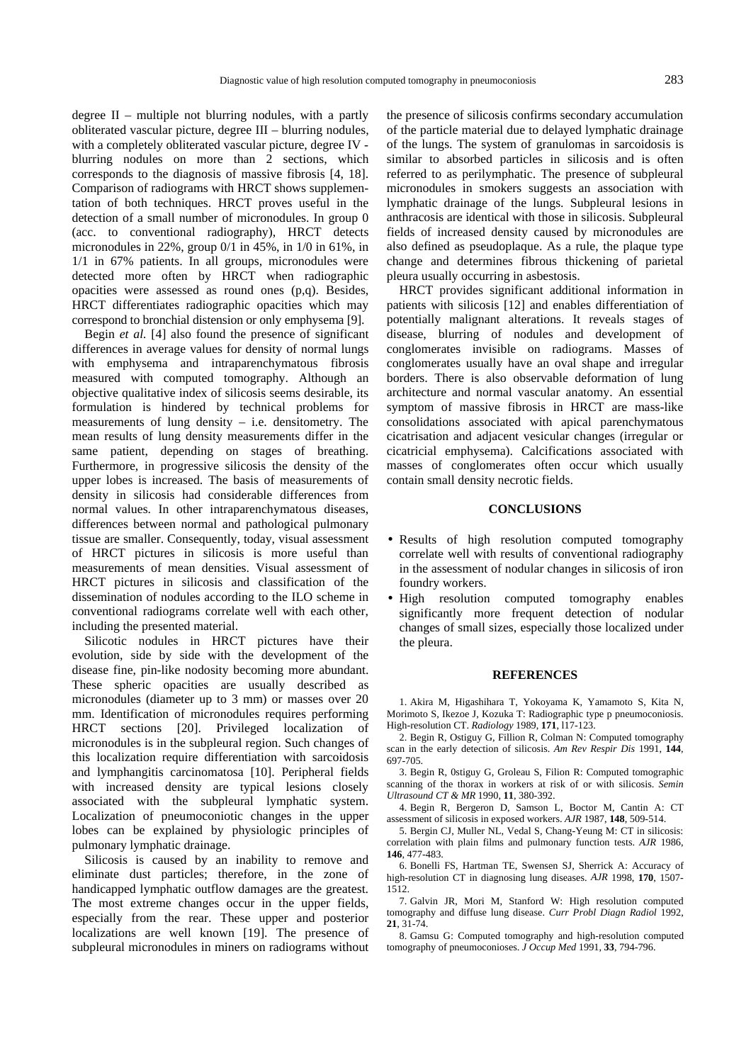degree II – multiple not blurring nodules, with a partly obliterated vascular picture, degree III – blurring nodules, with a completely obliterated vascular picture, degree IV blurring nodules on more than 2 sections, which corresponds to the diagnosis of massive fibrosis [4, 18]. Comparison of radiograms with HRCT shows supplementation of both techniques. HRCT proves useful in the detection of a small number of micronodules. In group 0 (acc. to conventional radiography), HRCT detects micronodules in 22%, group 0/1 in 45%, in 1/0 in 61%, in 1/1 in 67% patients. In all groups, micronodules were detected more often by HRCT when radiographic opacities were assessed as round ones (p,q). Besides, HRCT differentiates radiographic opacities which may correspond to bronchial distension or only emphysema [9].

Begin *et al.* [4] also found the presence of significant differences in average values for density of normal lungs with emphysema and intraparenchymatous fibrosis measured with computed tomography. Although an objective qualitative index of silicosis seems desirable, its formulation is hindered by technical problems for measurements of lung density  $-$  i.e. densitometry. The mean results of lung density measurements differ in the same patient, depending on stages of breathing. Furthermore, in progressive silicosis the density of the upper lobes is increased. The basis of measurements of density in silicosis had considerable differences from normal values. In other intraparenchymatous diseases, differences between normal and pathological pulmonary tissue are smaller. Consequently, today, visual assessment of HRCT pictures in silicosis is more useful than measurements of mean densities. Visual assessment of HRCT pictures in silicosis and classification of the dissemination of nodules according to the ILO scheme in conventional radiograms correlate well with each other, including the presented material.

Silicotic nodules in HRCT pictures have their evolution, side by side with the development of the disease fine, pin-like nodosity becoming more abundant. These spheric opacities are usually described as micronodules (diameter up to 3 mm) or masses over 20 mm. Identification of micronodules requires performing HRCT sections [20]. Privileged localization of micronodules is in the subpleural region. Such changes of this localization require differentiation with sarcoidosis and lymphangitis carcinomatosa [10]. Peripheral fields with increased density are typical lesions closely associated with the subpleural lymphatic system. Localization of pneumoconiotic changes in the upper lobes can be explained by physiologic principles of pulmonary lymphatic drainage.

Silicosis is caused by an inability to remove and eliminate dust particles; therefore, in the zone of handicapped lymphatic outflow damages are the greatest. The most extreme changes occur in the upper fields, especially from the rear. These upper and posterior localizations are well known [19]. The presence of subpleural micronodules in miners on radiograms without the presence of silicosis confirms secondary accumulation of the particle material due to delayed lymphatic drainage of the lungs. The system of granulomas in sarcoidosis is similar to absorbed particles in silicosis and is often referred to as perilymphatic. The presence of subpleural micronodules in smokers suggests an association with lymphatic drainage of the lungs. Subpleural lesions in anthracosis are identical with those in silicosis. Subpleural fields of increased density caused by micronodules are also defined as pseudoplaque. As a rule, the plaque type change and determines fibrous thickening of parietal pleura usually occurring in asbestosis.

HRCT provides significant additional information in patients with silicosis [12] and enables differentiation of potentially malignant alterations. It reveals stages of disease, blurring of nodules and development of conglomerates invisible on radiograms. Masses of conglomerates usually have an oval shape and irregular borders. There is also observable deformation of lung architecture and normal vascular anatomy. An essential symptom of massive fibrosis in HRCT are mass-like consolidations associated with apical parenchymatous cicatrisation and adjacent vesicular changes (irregular or cicatricial emphysema). Calcifications associated with masses of conglomerates often occur which usually contain small density necrotic fields.

#### **CONCLUSIONS**

- Results of high resolution computed tomography correlate well with results of conventional radiography in the assessment of nodular changes in silicosis of iron foundry workers.
- High resolution computed tomography enables significantly more frequent detection of nodular changes of small sizes, especially those localized under the pleura.

#### **REFERENCES**

1. Akira M, Higashihara T, Yokoyama K, Yamamoto S, Kita N, Morimoto S, Ikezoe J, Kozuka T: Radiographic type p pneumoconiosis. High-resolution CT. *Radiology* 1989, **171**, l17-123.

2. Begin R, Ostiguy G, Fillion R, Colman N: Computed tomography scan in the early detection of silicosis. *Am Rev Respir Dis* 1991, **144**, 697-705.

3. Begin R, 0stiguy G, Groleau S, Filion R: Computed tomographic scanning of the thorax in workers at risk of or with silicosis. *Semin Ultrasound CT & MR* 1990, **11**, 380-392.

4. Begin R, Bergeron D, Samson L, Boctor M, Cantin A: CT assessment of silicosis in exposed workers. *AJR* 1987, **148**, 509-514.

5. Bergin CJ, Muller NL, Vedal S, Chang-Yeung M: CT in silicosis: correlation with plain films and pulmonary function tests. *AJR* 1986, **146**, 477-483.

6. Bonelli FS, Hartman TE, Swensen SJ, Sherrick A: Accuracy of high-resolution CT in diagnosing lung diseases. *AJR* 1998, **170**, 1507- 1512.

7. Galvin JR, Mori M, Stanford W: High resolution computed tomography and diffuse lung disease. *Curr Probl Diagn Radiol* 1992, **21**, 31-74.

8. Gamsu G: Computed tomography and high-resolution computed tomography of pneumoconioses. *J Occup Med* 1991, **33**, 794-796.